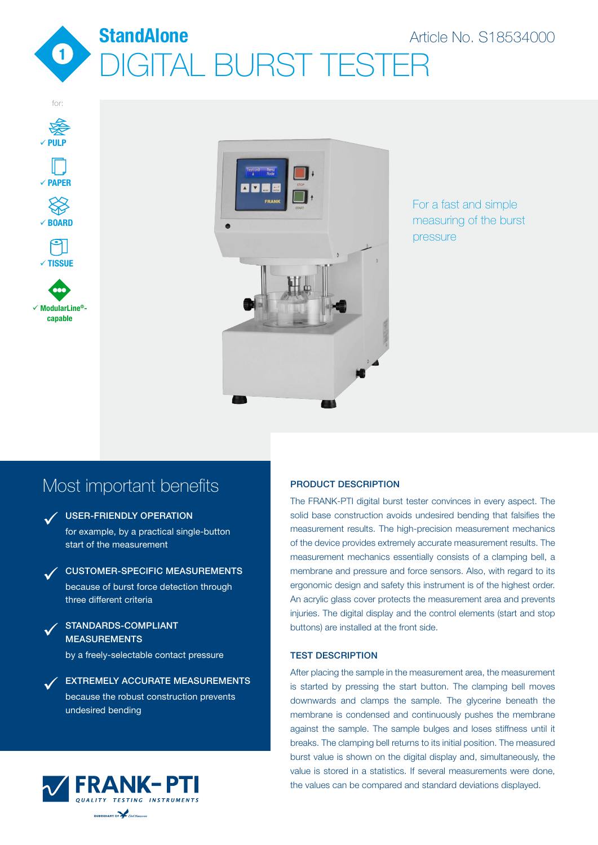







### For a fast and simple measuring of the burst pressure

## Most important benefits

ü

ü

### V USER-FRIENDLY OPERATION

for example, by a practical single-button start of the measurement

CUSTOMER-SPECIFIC MEASUREMENTS because of burst force detection through three different criteria

STANDARDS-COMPLIANT **MEASUREMENTS** ü

by a freely-selectable contact pressure

EXTREMELY ACCURATE MEASUREMENTS because the robust construction prevents undesired bending



### PRODUCT DESCRIPTION

The FRANK-PTI digital burst tester convinces in every aspect. The solid base construction avoids undesired bending that falsifies the measurement results. The high-precision measurement mechanics of the device provides extremely accurate measurement results. The measurement mechanics essentially consists of a clamping bell, a membrane and pressure and force sensors. Also, with regard to its ergonomic design and safety this instrument is of the highest order. An acrylic glass cover protects the measurement area and prevents injuries. The digital display and the control elements (start and stop buttons) are installed at the front side.

### TEST DESCRIPTION

After placing the sample in the measurement area, the measurement is started by pressing the start button. The clamping bell moves downwards and clamps the sample. The glycerine beneath the membrane is condensed and continuously pushes the membrane against the sample. The sample bulges and loses stiffness until it breaks. The clamping bell returns to its initial position. The measured burst value is shown on the digital display and, simultaneously, the value is stored in a statistics. If several measurements were done, the values can be compared and standard deviations displayed.